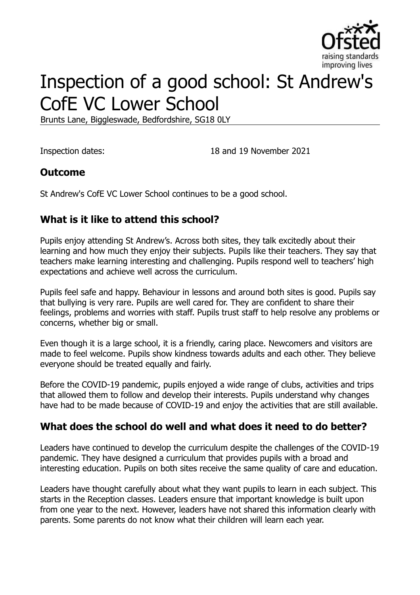

# Inspection of a good school: St Andrew's CofE VC Lower School

Brunts Lane, Biggleswade, Bedfordshire, SG18 0LY

Inspection dates: 18 and 19 November 2021

## **Outcome**

St Andrew's CofE VC Lower School continues to be a good school.

## **What is it like to attend this school?**

Pupils enjoy attending St Andrew's. Across both sites, they talk excitedly about their learning and how much they enjoy their subjects. Pupils like their teachers. They say that teachers make learning interesting and challenging. Pupils respond well to teachers' high expectations and achieve well across the curriculum.

Pupils feel safe and happy. Behaviour in lessons and around both sites is good. Pupils say that bullying is very rare. Pupils are well cared for. They are confident to share their feelings, problems and worries with staff. Pupils trust staff to help resolve any problems or concerns, whether big or small.

Even though it is a large school, it is a friendly, caring place. Newcomers and visitors are made to feel welcome. Pupils show kindness towards adults and each other. They believe everyone should be treated equally and fairly.

Before the COVID-19 pandemic, pupils enjoyed a wide range of clubs, activities and trips that allowed them to follow and develop their interests. Pupils understand why changes have had to be made because of COVID-19 and enjoy the activities that are still available.

## **What does the school do well and what does it need to do better?**

Leaders have continued to develop the curriculum despite the challenges of the COVID-19 pandemic. They have designed a curriculum that provides pupils with a broad and interesting education. Pupils on both sites receive the same quality of care and education.

Leaders have thought carefully about what they want pupils to learn in each subject. This starts in the Reception classes. Leaders ensure that important knowledge is built upon from one year to the next. However, leaders have not shared this information clearly with parents. Some parents do not know what their children will learn each year.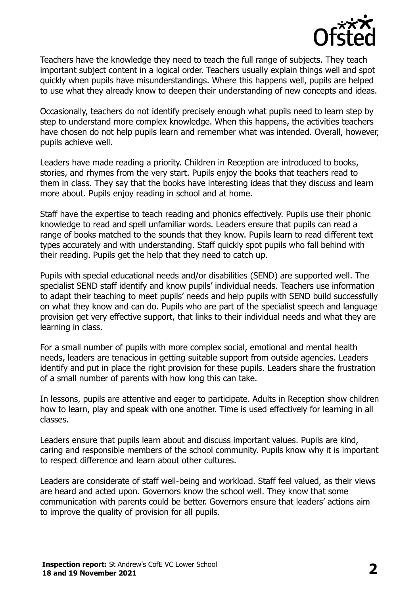

Teachers have the knowledge they need to teach the full range of subjects. They teach important subject content in a logical order. Teachers usually explain things well and spot quickly when pupils have misunderstandings. Where this happens well, pupils are helped to use what they already know to deepen their understanding of new concepts and ideas.

Occasionally, teachers do not identify precisely enough what pupils need to learn step by step to understand more complex knowledge. When this happens, the activities teachers have chosen do not help pupils learn and remember what was intended. Overall, however, pupils achieve well.

Leaders have made reading a priority. Children in Reception are introduced to books, stories, and rhymes from the very start. Pupils enjoy the books that teachers read to them in class. They say that the books have interesting ideas that they discuss and learn more about. Pupils enjoy reading in school and at home.

Staff have the expertise to teach reading and phonics effectively. Pupils use their phonic knowledge to read and spell unfamiliar words. Leaders ensure that pupils can read a range of books matched to the sounds that they know. Pupils learn to read different text types accurately and with understanding. Staff quickly spot pupils who fall behind with their reading. Pupils get the help that they need to catch up.

Pupils with special educational needs and/or disabilities (SEND) are supported well. The specialist SEND staff identify and know pupils' individual needs. Teachers use information to adapt their teaching to meet pupils' needs and help pupils with SEND build successfully on what they know and can do. Pupils who are part of the specialist speech and language provision get very effective support, that links to their individual needs and what they are learning in class.

For a small number of pupils with more complex social, emotional and mental health needs, leaders are tenacious in getting suitable support from outside agencies. Leaders identify and put in place the right provision for these pupils. Leaders share the frustration of a small number of parents with how long this can take.

In lessons, pupils are attentive and eager to participate. Adults in Reception show children how to learn, play and speak with one another. Time is used effectively for learning in all classes.

Leaders ensure that pupils learn about and discuss important values. Pupils are kind, caring and responsible members of the school community. Pupils know why it is important to respect difference and learn about other cultures.

Leaders are considerate of staff well-being and workload. Staff feel valued, as their views are heard and acted upon. Governors know the school well. They know that some communication with parents could be better. Governors ensure that leaders' actions aim to improve the quality of provision for all pupils.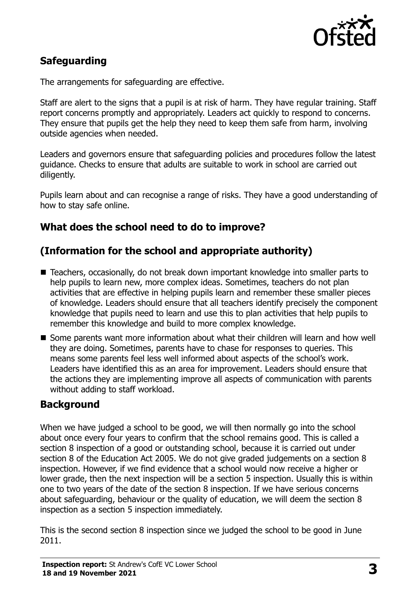

## **Safeguarding**

The arrangements for safeguarding are effective.

Staff are alert to the signs that a pupil is at risk of harm. They have regular training. Staff report concerns promptly and appropriately. Leaders act quickly to respond to concerns. They ensure that pupils get the help they need to keep them safe from harm, involving outside agencies when needed.

Leaders and governors ensure that safeguarding policies and procedures follow the latest guidance. Checks to ensure that adults are suitable to work in school are carried out diligently.

Pupils learn about and can recognise a range of risks. They have a good understanding of how to stay safe online.

## **What does the school need to do to improve?**

## **(Information for the school and appropriate authority)**

- Teachers, occasionally, do not break down important knowledge into smaller parts to help pupils to learn new, more complex ideas. Sometimes, teachers do not plan activities that are effective in helping pupils learn and remember these smaller pieces of knowledge. Leaders should ensure that all teachers identify precisely the component knowledge that pupils need to learn and use this to plan activities that help pupils to remember this knowledge and build to more complex knowledge.
- Some parents want more information about what their children will learn and how well they are doing. Sometimes, parents have to chase for responses to queries. This means some parents feel less well informed about aspects of the school's work. Leaders have identified this as an area for improvement. Leaders should ensure that the actions they are implementing improve all aspects of communication with parents without adding to staff workload.

### **Background**

When we have judged a school to be good, we will then normally go into the school about once every four years to confirm that the school remains good. This is called a section 8 inspection of a good or outstanding school, because it is carried out under section 8 of the Education Act 2005. We do not give graded judgements on a section 8 inspection. However, if we find evidence that a school would now receive a higher or lower grade, then the next inspection will be a section 5 inspection. Usually this is within one to two years of the date of the section 8 inspection. If we have serious concerns about safeguarding, behaviour or the quality of education, we will deem the section 8 inspection as a section 5 inspection immediately.

This is the second section 8 inspection since we judged the school to be good in June 2011.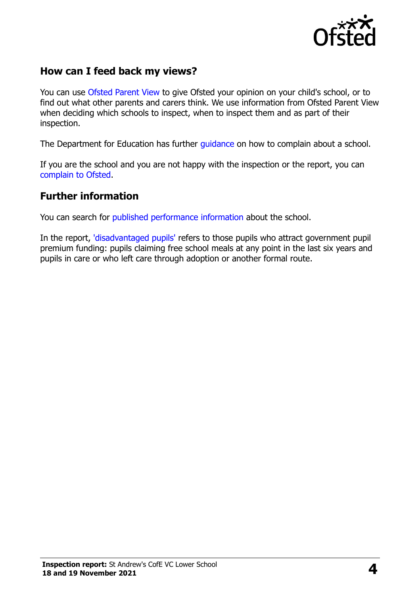

## **How can I feed back my views?**

You can use [Ofsted Parent View](https://parentview.ofsted.gov.uk/) to give Ofsted your opinion on your child's school, or to find out what other parents and carers think. We use information from Ofsted Parent View when deciding which schools to inspect, when to inspect them and as part of their inspection.

The Department for Education has further quidance on how to complain about a school.

If you are the school and you are not happy with the inspection or the report, you can [complain to Ofsted.](https://www.gov.uk/complain-ofsted-report)

### **Further information**

You can search for [published performance](http://www.compare-school-performance.service.gov.uk/) information about the school.

In the report, ['disadvantaged pupils'](http://www.gov.uk/guidance/pupil-premium-information-for-schools-and-alternative-provision-settings) refers to those pupils who attract government pupil premium funding: pupils claiming free school meals at any point in the last six years and pupils in care or who left care through adoption or another formal route.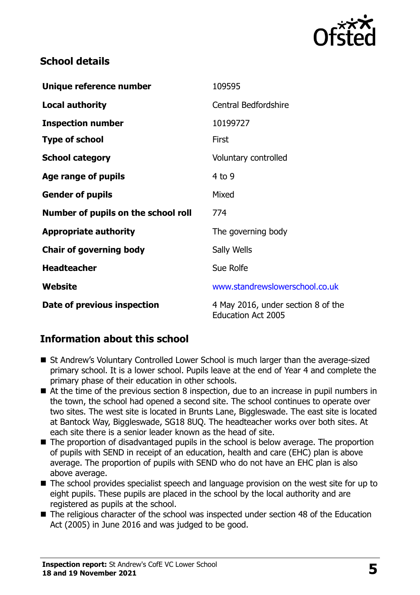

## **School details**

| Unique reference number             | 109595                                                          |
|-------------------------------------|-----------------------------------------------------------------|
| <b>Local authority</b>              | <b>Central Bedfordshire</b>                                     |
| <b>Inspection number</b>            | 10199727                                                        |
| <b>Type of school</b>               | First                                                           |
| <b>School category</b>              | Voluntary controlled                                            |
| Age range of pupils                 | $4$ to 9                                                        |
| <b>Gender of pupils</b>             | Mixed                                                           |
| Number of pupils on the school roll | 774                                                             |
| <b>Appropriate authority</b>        | The governing body                                              |
| <b>Chair of governing body</b>      | Sally Wells                                                     |
| <b>Headteacher</b>                  | Sue Rolfe                                                       |
| Website                             | www.standrewslowerschool.co.uk                                  |
| Date of previous inspection         | 4 May 2016, under section 8 of the<br><b>Education Act 2005</b> |

## **Information about this school**

- St Andrew's Voluntary Controlled Lower School is much larger than the average-sized primary school. It is a lower school. Pupils leave at the end of Year 4 and complete the primary phase of their education in other schools.
- At the time of the previous section 8 inspection, due to an increase in pupil numbers in the town, the school had opened a second site. The school continues to operate over two sites. The west site is located in Brunts Lane, Biggleswade. The east site is located at Bantock Way, Biggleswade, SG18 8UQ. The headteacher works over both sites. At each site there is a senior leader known as the head of site.
- The proportion of disadvantaged pupils in the school is below average. The proportion of pupils with SEND in receipt of an education, health and care (EHC) plan is above average. The proportion of pupils with SEND who do not have an EHC plan is also above average.
- The school provides specialist speech and language provision on the west site for up to eight pupils. These pupils are placed in the school by the local authority and are registered as pupils at the school.
- The religious character of the school was inspected under section 48 of the Education Act (2005) in June 2016 and was judged to be good.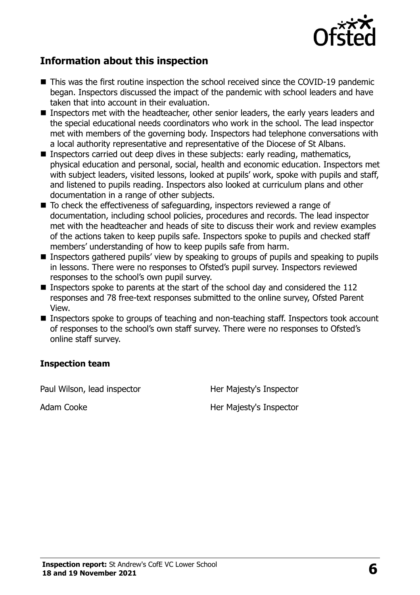

## **Information about this inspection**

- This was the first routine inspection the school received since the COVID-19 pandemic began. Inspectors discussed the impact of the pandemic with school leaders and have taken that into account in their evaluation.
- **Inspectors met with the headteacher, other senior leaders, the early years leaders and** the special educational needs coordinators who work in the school. The lead inspector met with members of the governing body. Inspectors had telephone conversations with a local authority representative and representative of the Diocese of St Albans.
- Inspectors carried out deep dives in these subjects: early reading, mathematics, physical education and personal, social, health and economic education. Inspectors met with subject leaders, visited lessons, looked at pupils' work, spoke with pupils and staff, and listened to pupils reading. Inspectors also looked at curriculum plans and other documentation in a range of other subjects.
- To check the effectiveness of safeguarding, inspectors reviewed a range of documentation, including school policies, procedures and records. The lead inspector met with the headteacher and heads of site to discuss their work and review examples of the actions taken to keep pupils safe. Inspectors spoke to pupils and checked staff members' understanding of how to keep pupils safe from harm.
- Inspectors gathered pupils' view by speaking to groups of pupils and speaking to pupils in lessons. There were no responses to Ofsted's pupil survey. Inspectors reviewed responses to the school's own pupil survey.
- Inspectors spoke to parents at the start of the school day and considered the  $112$ responses and 78 free-text responses submitted to the online survey, Ofsted Parent View.
- Inspectors spoke to groups of teaching and non-teaching staff. Inspectors took account of responses to the school's own staff survey. There were no responses to Ofsted's online staff survey.

#### **Inspection team**

Paul Wilson, lead inspector **Her Majesty's Inspector** 

Adam Cooke Her Majesty's Inspector